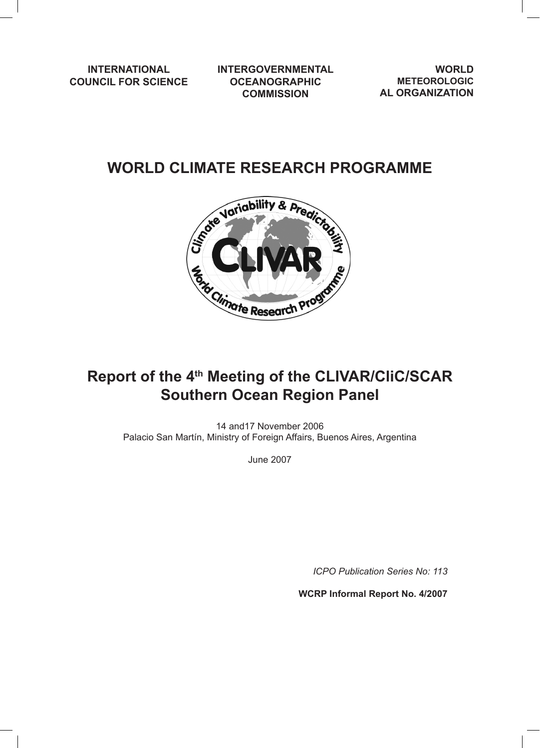**INTERNATIONAL COUNCIL FOR SCIENCE** **INTERGOVERNMENTAL OCEANOGRAPHIC COMMISSION**

**WORLD METEOROLOGIC AL ORGANIZATION**

## **WORLD CLIMATE RESEARCH PROGRAMME**



# **Report of the 4th Meeting of the CLIVAR/CliC/SCAR Southern Ocean Region Panel**

14 and17 November 2006 Palacio San Martín, Ministry of Foreign Affairs, Buenos Aires, Argentina

June 2007

*ICPO Publication Series No: 113*

**WCRP Informal Report No. 4/2007**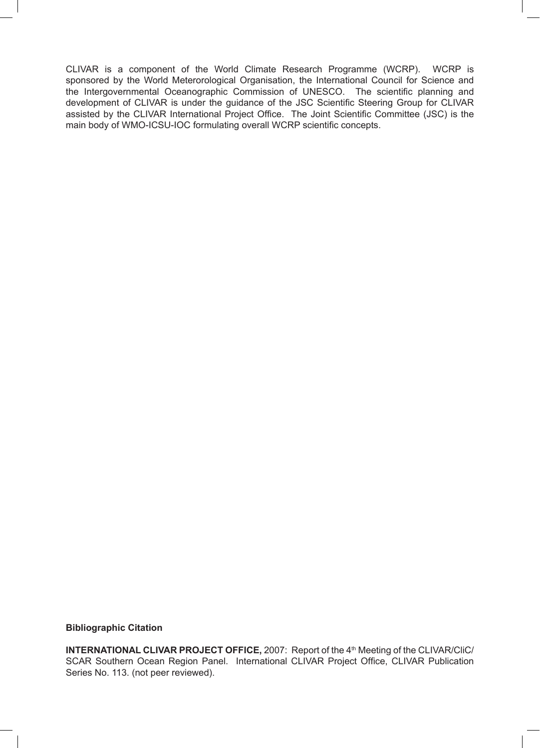CLIVAR is a component of the World Climate Research Programme (WCRP). WCRP is sponsored by the World Meterorological Organisation, the International Council for Science and the Intergovernmental Oceanographic Commission of UNESCO. The scientific planning and development of CLIVAR is under the guidance of the JSC Scientific Steering Group for CLIVAR assisted by the CLIVAR International Project Office. The Joint Scientific Committee (JSC) is the main body of WMO-ICSU-IOC formulating overall WCRP scientific concepts.

## **Bibliographic Citation**

**INTERNATIONAL CLIVAR PROJECT OFFICE, 2007: Report of the 4<sup>th</sup> Meeting of the CLIVAR/CliC/** SCAR Southern Ocean Region Panel. International CLIVAR Project Office, CLIVAR Publication Series No. 113. (not peer reviewed).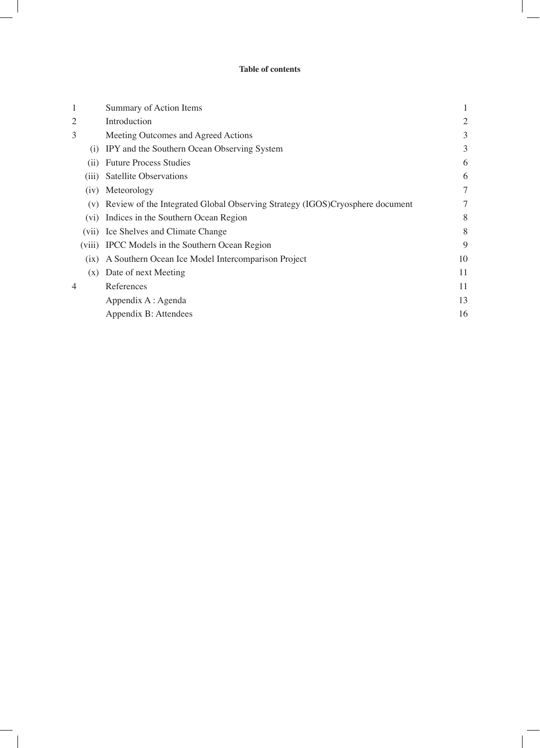## **Table of contents**

| 1                 | Summary of Action Items                                                      |                |
|-------------------|------------------------------------------------------------------------------|----------------|
| $\overline{2}$    | Introduction                                                                 | $\overline{2}$ |
| 3                 | Meeting Outcomes and Agreed Actions                                          | 3              |
| (i)               | IPY and the Southern Ocean Observing System                                  | 3              |
| (i)               | <b>Future Process Studies</b>                                                | 6              |
| (iii)             | <b>Satellite Observations</b>                                                | 6              |
| (iv)              | Meteorology                                                                  | $\tau$         |
| (v)               | Review of the Integrated Global Observing Strategy (IGOS)Cryosphere document |                |
| (v <sub>i</sub> ) | Indices in the Southern Ocean Region                                         | 8              |
| (V11)             | Ice Shelves and Climate Change                                               | 8              |
| (viii)            | IPCC Models in the Southern Ocean Region                                     | 9              |
| (ix)              | A Southern Ocean Ice Model Intercomparison Project                           | 10             |
| (x)               | Date of next Meeting                                                         | 11             |
| 4                 | References                                                                   | 11             |
|                   | Appendix A : Agenda                                                          | 13             |
|                   | Appendix B: Attendees                                                        | 16             |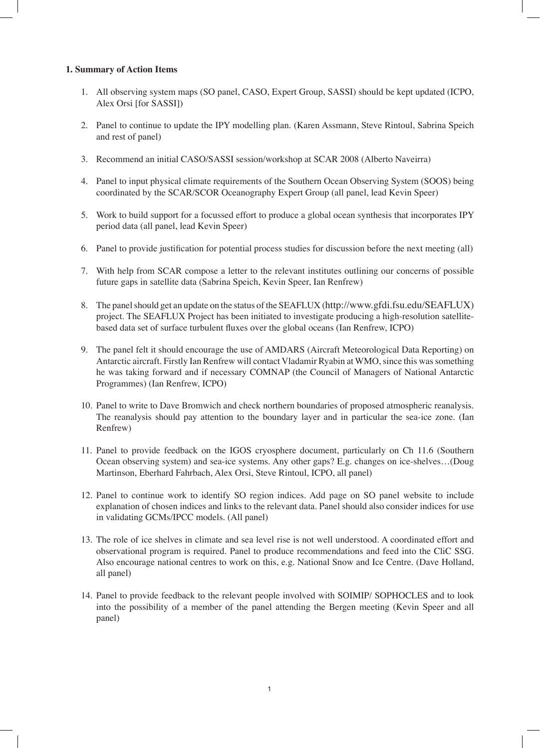## **1. Summary of Action Items**

- 1. All observing system maps (SO panel, CASO, Expert Group, SASSI) should be kept updated (ICPO, Alex Orsi [for SASSI])
- 2. Panel to continue to update the IPY modelling plan. (Karen Assmann, Steve Rintoul, Sabrina Speich and rest of panel)
- 3. Recommend an initial CASO/SASSI session/workshop at SCAR 2008 (Alberto Naveirra)
- 4. Panel to input physical climate requirements of the Southern Ocean Observing System (SOOS) being coordinated by the SCAR/SCOR Oceanography Expert Group (all panel, lead Kevin Speer)
- 5. Work to build support for a focussed effort to produce a global ocean synthesis that incorporates IPY period data (all panel, lead Kevin Speer)
- 6. Panel to provide justification for potential process studies for discussion before the next meeting (all)
- 7. With help from SCAR compose a letter to the relevant institutes outlining our concerns of possible future gaps in satellite data (Sabrina Speich, Kevin Speer, Ian Renfrew)
- 8. The panel should get an update on the status of the SEAFLUX (http://www.gfdi.fsu.edu/SEAFLUX) project. The SEAFLUX Project has been initiated to investigate producing a high-resolution satellitebased data set of surface turbulent fluxes over the global oceans (Ian Renfrew, ICPO)
- 9. The panel felt it should encourage the use of AMDARS (Aircraft Meteorological Data Reporting) on Antarctic aircraft. Firstly Ian Renfrew will contact Vladamir Ryabin at WMO, since this was something he was taking forward and if necessary COMNAP (the Council of Managers of National Antarctic Programmes) (Ian Renfrew, ICPO)
- 10. Panel to write to Dave Bromwich and check northern boundaries of proposed atmospheric reanalysis. The reanalysis should pay attention to the boundary layer and in particular the sea-ice zone. (Ian Renfrew)
- 11. Panel to provide feedback on the IGOS cryosphere document, particularly on Ch 11.6 (Southern Ocean observing system) and sea-ice systems. Any other gaps? E.g. changes on ice-shelves…(Doug Martinson, Eberhard Fahrbach, Alex Orsi, Steve Rintoul, ICPO, all panel)
- 12. Panel to continue work to identify SO region indices. Add page on SO panel website to include explanation of chosen indices and links to the relevant data. Panel should also consider indices for use in validating GCMs/IPCC models. (All panel)
- 13. The role of ice shelves in climate and sea level rise is not well understood. A coordinated effort and observational program is required. Panel to produce recommendations and feed into the CliC SSG. Also encourage national centres to work on this, e.g. National Snow and Ice Centre. (Dave Holland, all panel)
- 14. Panel to provide feedback to the relevant people involved with SOIMIP/ SOPHOCLES and to look into the possibility of a member of the panel attending the Bergen meeting (Kevin Speer and all panel)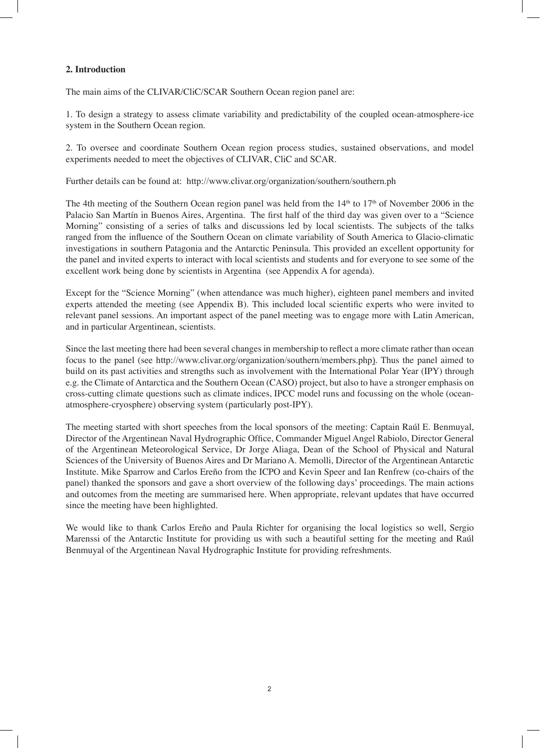## **2. Introduction**

The main aims of the CLIVAR/CliC/SCAR Southern Ocean region panel are:

1. To design a strategy to assess climate variability and predictability of the coupled ocean-atmosphere-ice system in the Southern Ocean region.

2. To oversee and coordinate Southern Ocean region process studies, sustained observations, and model experiments needed to meet the objectives of CLIVAR, CliC and SCAR.

Further details can be found at: http://www.clivar.org/organization/southern/southern.ph

The 4th meeting of the Southern Ocean region panel was held from the 14<sup>th</sup> to 17<sup>th</sup> of November 2006 in the Palacio San Martín in Buenos Aires, Argentina. The first half of the third day was given over to a "Science Morning" consisting of a series of talks and discussions led by local scientists. The subjects of the talks ranged from the influence of the Southern Ocean on climate variability of South America to Glacio-climatic investigations in southern Patagonia and the Antarctic Peninsula. This provided an excellent opportunity for the panel and invited experts to interact with local scientists and students and for everyone to see some of the excellent work being done by scientists in Argentina (see Appendix A for agenda).

Except for the "Science Morning" (when attendance was much higher), eighteen panel members and invited experts attended the meeting (see Appendix B). This included local scientific experts who were invited to relevant panel sessions. An important aspect of the panel meeting was to engage more with Latin American, and in particular Argentinean, scientists.

Since the last meeting there had been several changes in membership to reflect a more climate rather than ocean focus to the panel (see http://www.clivar.org/organization/southern/members.php). Thus the panel aimed to build on its past activities and strengths such as involvement with the International Polar Year (IPY) through e.g. the Climate of Antarctica and the Southern Ocean (CASO) project, but also to have a stronger emphasis on cross-cutting climate questions such as climate indices, IPCC model runs and focussing on the whole (oceanatmosphere-cryosphere) observing system (particularly post-IPY).

The meeting started with short speeches from the local sponsors of the meeting: Captain Raúl E. Benmuyal, Director of the Argentinean Naval Hydrographic Office, Commander Miguel Angel Rabiolo, Director General of the Argentinean Meteorological Service, Dr Jorge Aliaga, Dean of the School of Physical and Natural Sciences of the University of Buenos Aires and Dr Mariano A. Memolli, Director of the Argentinean Antarctic Institute. Mike Sparrow and Carlos Ereño from the ICPO and Kevin Speer and Ian Renfrew (co-chairs of the panel) thanked the sponsors and gave a short overview of the following days' proceedings. The main actions and outcomes from the meeting are summarised here. When appropriate, relevant updates that have occurred since the meeting have been highlighted.

We would like to thank Carlos Ereño and Paula Richter for organising the local logistics so well, Sergio Marenssi of the Antarctic Institute for providing us with such a beautiful setting for the meeting and Raúl Benmuyal of the Argentinean Naval Hydrographic Institute for providing refreshments.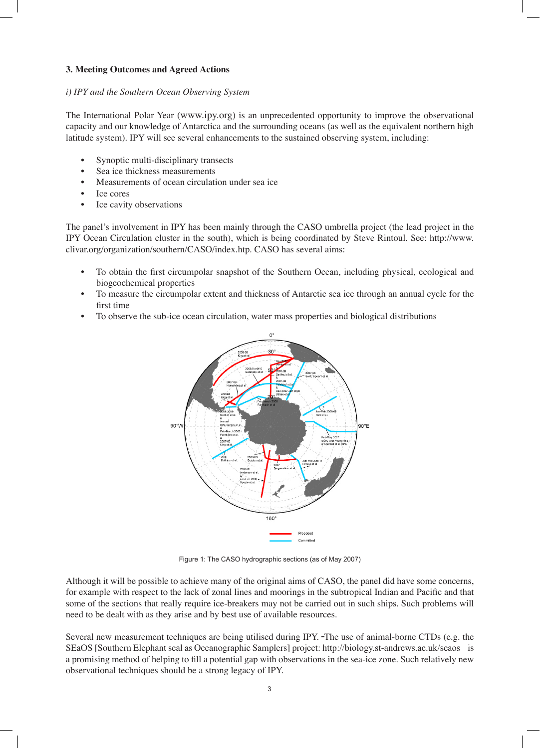### **3. Meeting Outcomes and Agreed Actions**

#### *i) IPY and the Southern Ocean Observing System*

The International Polar Year (www.ipy.org) is an unprecedented opportunity to improve the observational capacity and our knowledge of Antarctica and the surrounding oceans (as well as the equivalent northern high latitude system). IPY will see several enhancements to the sustained observing system, including:

- Synoptic multi-disciplinary transects
- Sea ice thickness measurements
- Measurements of ocean circulation under sea ice
- Ice cores
- Ice cavity observations

The panel's involvement in IPY has been mainly through the CASO umbrella project (the lead project in the IPY Ocean Circulation cluster in the south), which is being coordinated by Steve Rintoul. See: http://www. clivar.org/organization/southern/CASO/index.htp. CASO has several aims:

- To obtain the first circumpolar snapshot of the Southern Ocean, including physical, ecological and biogeochemical properties
- To measure the circumpolar extent and thickness of Antarctic sea ice through an annual cycle for the first time
- To observe the sub-ice ocean circulation, water mass properties and biological distributions



Figure 1: The CASO hydrographic sections (as of May 2007)

Although it will be possible to achieve many of the original aims of CASO, the panel did have some concerns, for example with respect to the lack of zonal lines and moorings in the subtropical Indian and Pacific and that some of the sections that really require ice-breakers may not be carried out in such ships. Such problems will need to be dealt with as they arise and by best use of available resources.

Several new measurement techniques are being utilised during IPY. The use of animal-borne CTDs (e.g. the SEaOS [Southern Elephant seal as Oceanographic Samplers] project: http://biology.st-andrews.ac.uk/seaos is a promising method of helping to fill a potential gap with observations in the sea-ice zone. Such relatively new observational techniques should be a strong legacy of IPY.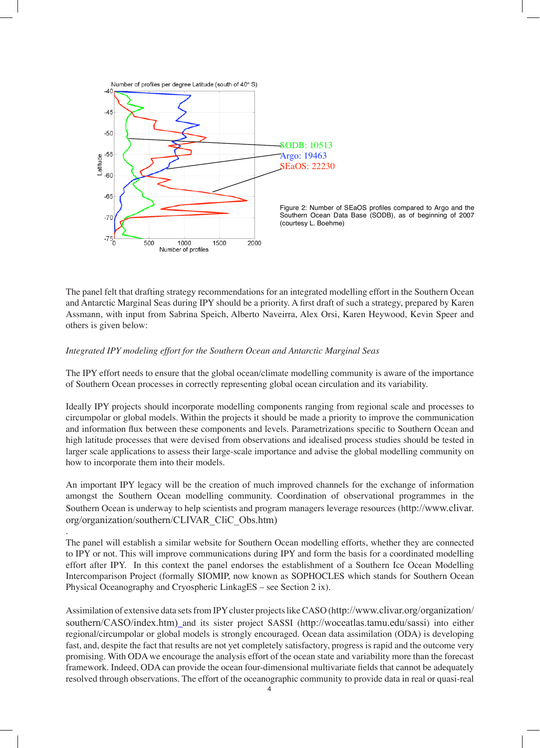

The panel felt that drafting strategy recommendations for an integrated modelling effort in the Southern Ocean and Antarctic Marginal Seas during IPY should be a priority. A first draft of such a strategy, prepared by Karen Assmann, with input from Sabrina Speich, Alberto Naveirra, Alex Orsi, Karen Heywood, Kevin Speer and others is given below:

#### *Integrated IPY modeling effort for the Southern Ocean and Antarctic Marginal Seas*

.

The IPY effort needs to ensure that the global ocean/climate modelling community is aware of the importance of Southern Ocean processes in correctly representing global ocean circulation and its variability.

Ideally IPY projects should incorporate modelling components ranging from regional scale and processes to circumpolar or global models. Within the projects it should be made a priority to improve the communication and information flux between these components and levels. Parametrizations specific to Southern Ocean and high latitude processes that were devised from observations and idealised process studies should be tested in larger scale applications to assess their large-scale importance and advise the global modelling community on how to incorporate them into their models.

An important IPY legacy will be the creation of much improved channels for the exchange of information amongst the Southern Ocean modelling community. Coordination of observational programmes in the Southern Ocean is underway to help scientists and program managers leverage resources (http://www.clivar. org/organization/southern/CLIVAR\_CliC\_Obs.htm)

The panel will establish a similar website for Southern Ocean modelling efforts, whether they are connected to IPY or not. This will improve communications during IPY and form the basis for a coordinated modelling effort after IPY. In this context the panel endorses the establishment of a Southern Ice Ocean Modelling Intercomparison Project (formally SIOMIP, now known as SOPHOCLES which stands for Southern Ocean Physical Oceanography and Cryospheric LinkagES – see Section 2 ix).

Assimilation of extensive data sets from IPY cluster projects like CASO (http://www.clivar.org/organization/ southern/CASO/index.htm) and its sister project SASSI (http://woceatlas.tamu.edu/sassi) into either regional/circumpolar or global models is strongly encouraged. Ocean data assimilation (ODA) is developing fast, and, despite the fact that results are not yet completely satisfactory, progress is rapid and the outcome very promising. With ODA we encourage the analysis effort of the ocean state and variability more than the forecast framework. Indeed, ODA can provide the ocean four-dimensional multivariate fields that cannot be adequately resolved through observations. The effort of the oceanographic community to provide data in real or quasi-real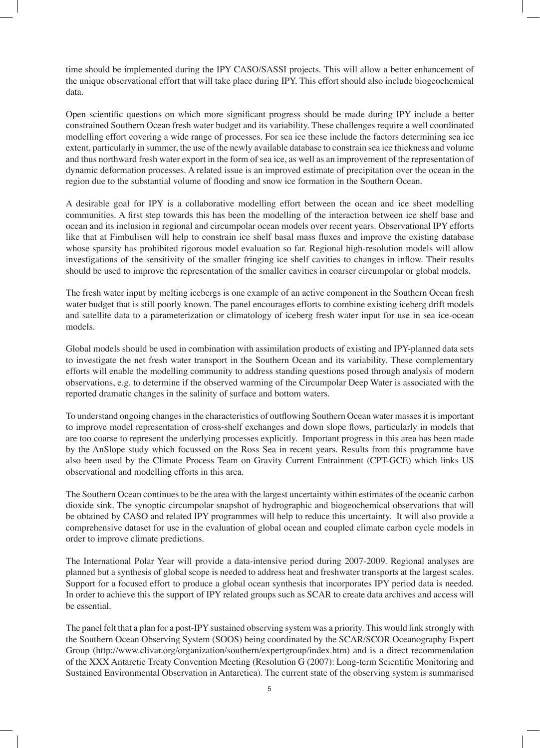time should be implemented during the IPY CASO/SASSI projects. This will allow a better enhancement of the unique observational effort that will take place during IPY. This effort should also include biogeochemical data.

Open scientific questions on which more significant progress should be made during IPY include a better constrained Southern Ocean fresh water budget and its variability. These challenges require a well coordinated modelling effort covering a wide range of processes. For sea ice these include the factors determining sea ice extent, particularly in summer, the use of the newly available database to constrain sea ice thickness and volume and thus northward fresh water export in the form of sea ice, as well as an improvement of the representation of dynamic deformation processes. A related issue is an improved estimate of precipitation over the ocean in the region due to the substantial volume of flooding and snow ice formation in the Southern Ocean.

A desirable goal for IPY is a collaborative modelling effort between the ocean and ice sheet modelling communities. A first step towards this has been the modelling of the interaction between ice shelf base and ocean and its inclusion in regional and circumpolar ocean models over recent years. Observational IPY efforts like that at Fimbulisen will help to constrain ice shelf basal mass fluxes and improve the existing database whose sparsity has prohibited rigorous model evaluation so far. Regional high-resolution models will allow investigations of the sensitivity of the smaller fringing ice shelf cavities to changes in inflow. Their results should be used to improve the representation of the smaller cavities in coarser circumpolar or global models.

The fresh water input by melting icebergs is one example of an active component in the Southern Ocean fresh water budget that is still poorly known. The panel encourages efforts to combine existing iceberg drift models and satellite data to a parameterization or climatology of iceberg fresh water input for use in sea ice-ocean models.

Global models should be used in combination with assimilation products of existing and IPY-planned data sets to investigate the net fresh water transport in the Southern Ocean and its variability. These complementary efforts will enable the modelling community to address standing questions posed through analysis of modern observations, e.g. to determine if the observed warming of the Circumpolar Deep Water is associated with the reported dramatic changes in the salinity of surface and bottom waters.

To understand ongoing changes in the characteristics of outflowing Southern Ocean water masses it is important to improve model representation of cross-shelf exchanges and down slope flows, particularly in models that are too coarse to represent the underlying processes explicitly. Important progress in this area has been made by the AnSlope study which focussed on the Ross Sea in recent years. Results from this programme have also been used by the Climate Process Team on Gravity Current Entrainment (CPT-GCE) which links US observational and modelling efforts in this area.

The Southern Ocean continues to be the area with the largest uncertainty within estimates of the oceanic carbon dioxide sink. The synoptic circumpolar snapshot of hydrographic and biogeochemical observations that will be obtained by CASO and related IPY programmes will help to reduce this uncertainty. It will also provide a comprehensive dataset for use in the evaluation of global ocean and coupled climate carbon cycle models in order to improve climate predictions.

The International Polar Year will provide a data-intensive period during 2007-2009. Regional analyses are planned but a synthesis of global scope is needed to address heat and freshwater transports at the largest scales. Support for a focused effort to produce a global ocean synthesis that incorporates IPY period data is needed. In order to achieve this the support of IPY related groups such as SCAR to create data archives and access will be essential.

The panel felt that a plan for a post-IPY sustained observing system was a priority. This would link strongly with the Southern Ocean Observing System (SOOS) being coordinated by the SCAR/SCOR Oceanography Expert Group (http://www.clivar.org/organization/southern/expertgroup/index.htm) and is a direct recommendation of the XXX Antarctic Treaty Convention Meeting (Resolution G (2007): Long-term Scientific Monitoring and Sustained Environmental Observation in Antarctica). The current state of the observing system is summarised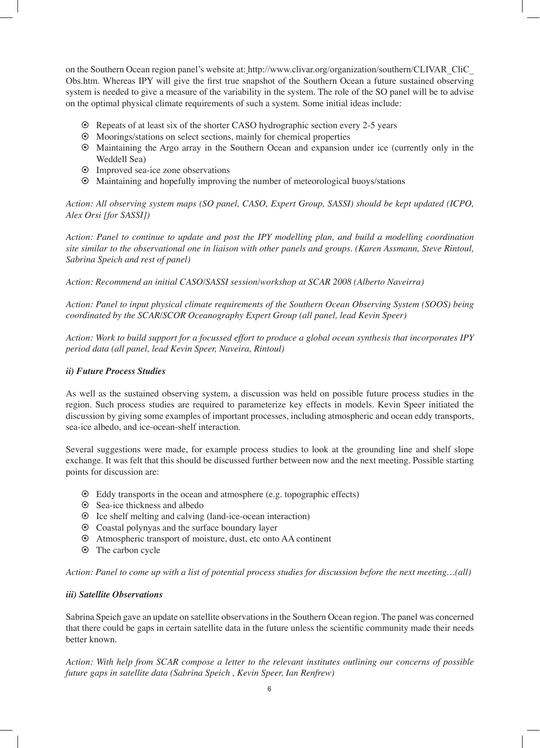on the Southern Ocean region panel's website at: http://www.clivar.org/organization/southern/CLIVAR\_CliC\_ Obs.htm. Whereas IPY will give the first true snapshot of the Southern Ocean a future sustained observing system is needed to give a measure of the variability in the system. The role of the SO panel will be to advise on the optimal physical climate requirements of such a system. Some initial ideas include:

- § Repeats of at least six of the shorter CASO hydrographic section every 2-5 years
- § Moorings/stations on select sections, mainly for chemical properties
- § Maintaining the Argo array in the Southern Ocean and expansion under ice (currently only in the Weddell Sea)
- § Improved sea-ice zone observations
- § Maintaining and hopefully improving the number of meteorological buoys/stations

*Action: All observing system maps (SO panel, CASO, Expert Group, SASSI) should be kept updated (ICPO, Alex Orsi [for SASSI])*

*Action: Panel to continue to update and post the IPY modelling plan, and build a modelling coordination site similar to the observational one in liaison with other panels and groups. (Karen Assmann, Steve Rintoul, Sabrina Speich and rest of panel)*

*Action: Recommend an initial CASO/SASSI session/workshop at SCAR 2008 (Alberto Naveirra)*

*Action: Panel to input physical climate requirements of the Southern Ocean Observing System (SOOS) being coordinated by the SCAR/SCOR Oceanography Expert Group (all panel, lead Kevin Speer)*

*Action: Work to build support for a focussed effort to produce a global ocean synthesis that incorporates IPY period data (all panel, lead Kevin Speer, Naveira, Rintoul)*

## *ii) Future Process Studies*

As well as the sustained observing system, a discussion was held on possible future process studies in the region. Such process studies are required to parameterize key effects in models. Kevin Speer initiated the discussion by giving some examples of important processes, including atmospheric and ocean eddy transports, sea-ice albedo, and ice-ocean-shelf interaction.

Several suggestions were made, for example process studies to look at the grounding line and shelf slope exchange. It was felt that this should be discussed further between now and the next meeting. Possible starting points for discussion are:

- § Eddy transports in the ocean and atmosphere (e.g. topographic effects)
- § Sea-ice thickness and albedo
- § Ice shelf melting and calving (land-ice-ocean interaction)
- § Coastal polynyas and the surface boundary layer
- § Atmospheric transport of moisture, dust, etc onto AA continent
- § The carbon cycle

*Action: Panel to come up with a list of potential process studies for discussion before the next meeting…(all)*

## *iii) Satellite Observations*

Sabrina Speich gave an update on satellite observations in the Southern Ocean region. The panel was concerned that there could be gaps in certain satellite data in the future unless the scientific community made their needs better known.

*Action: With help from SCAR compose a letter to the relevant institutes outlining our concerns of possible future gaps in satellite data (Sabrina Speich , Kevin Speer, Ian Renfrew)*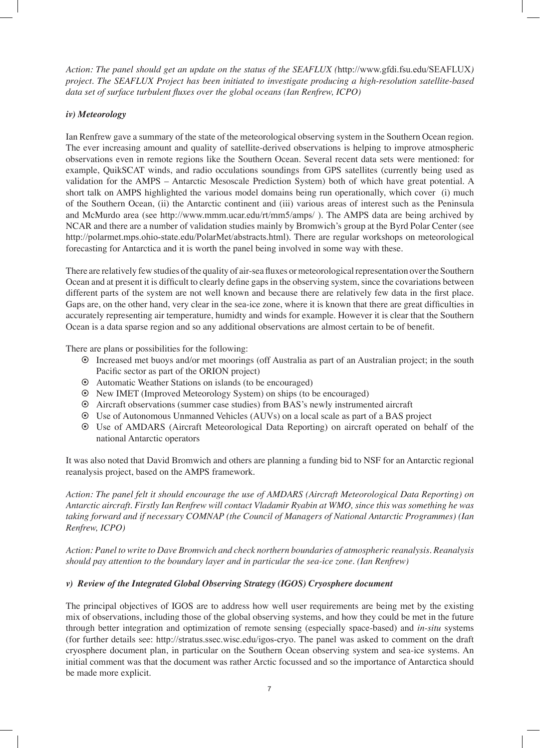*Action: The panel should get an update on the status of the SEAFLUX (*http://www.gfdi.fsu.edu/SEAFLUX*) project. The SEAFLUX Project has been initiated to investigate producing a high-resolution satellite-based data set of surface turbulent fluxes over the global oceans (Ian Renfrew, ICPO)*

## *iv) Meteorology*

Ian Renfrew gave a summary of the state of the meteorological observing system in the Southern Ocean region. The ever increasing amount and quality of satellite-derived observations is helping to improve atmospheric observations even in remote regions like the Southern Ocean. Several recent data sets were mentioned: for example, QuikSCAT winds, and radio occulations soundings from GPS satellites (currently being used as validation for the AMPS – Antarctic Mesoscale Prediction System) both of which have great potential. A short talk on AMPS highlighted the various model domains being run operationally, which cover (i) much of the Southern Ocean, (ii) the Antarctic continent and (iii) various areas of interest such as the Peninsula and McMurdo area (see http://www.mmm.ucar.edu/rt/mm5/amps/ ). The AMPS data are being archived by NCAR and there are a number of validation studies mainly by Bromwich's group at the Byrd Polar Center (see http://polarmet.mps.ohio-state.edu/PolarMet/abstracts.html). There are regular workshops on meteorological forecasting for Antarctica and it is worth the panel being involved in some way with these.

There are relatively few studies of the quality of air-sea fluxes or meteorological representation over the Southern Ocean and at present it is difficult to clearly define gaps in the observing system, since the covariations between different parts of the system are not well known and because there are relatively few data in the first place. Gaps are, on the other hand, very clear in the sea-ice zone, where it is known that there are great difficulties in accurately representing air temperature, humidty and winds for example. However it is clear that the Southern Ocean is a data sparse region and so any additional observations are almost certain to be of benefit.

There are plans or possibilities for the following:

- § Increased met buoys and/or met moorings (off Australia as part of an Australian project; in the south Pacific sector as part of the ORION project)
- § Automatic Weather Stations on islands (to be encouraged)
- § New IMET (Improved Meteorology System) on ships (to be encouraged)
- § Aircraft observations (summer case studies) from BAS's newly instrumented aircraft
- § Use of Autonomous Unmanned Vehicles (AUVs) on a local scale as part of a BAS project
- § Use of AMDARS (Aircraft Meteorological Data Reporting) on aircraft operated on behalf of the national Antarctic operators

It was also noted that David Bromwich and others are planning a funding bid to NSF for an Antarctic regional reanalysis project, based on the AMPS framework.

*Action: The panel felt it should encourage the use of AMDARS (Aircraft Meteorological Data Reporting) on Antarctic aircraft. Firstly Ian Renfrew will contact Vladamir Ryabin at WMO, since this was something he was taking forward and if necessary COMNAP (the Council of Managers of National Antarctic Programmes) (Ian Renfrew, ICPO)*

*Action: Panel to write to Dave Bromwich and check northern boundaries of atmospheric reanalysis. Reanalysis should pay attention to the boundary layer and in particular the sea-ice zone. (Ian Renfrew)* 

## *v) Review of the Integrated Global Observing Strategy (IGOS) Cryosphere document*

The principal objectives of IGOS are to address how well user requirements are being met by the existing mix of observations, including those of the global observing systems, and how they could be met in the future through better integration and optimization of remote sensing (especially space-based) and *in-situ* systems (for further details see: http://stratus.ssec.wisc.edu/igos-cryo. The panel was asked to comment on the draft cryosphere document plan, in particular on the Southern Ocean observing system and sea-ice systems. An initial comment was that the document was rather Arctic focussed and so the importance of Antarctica should be made more explicit.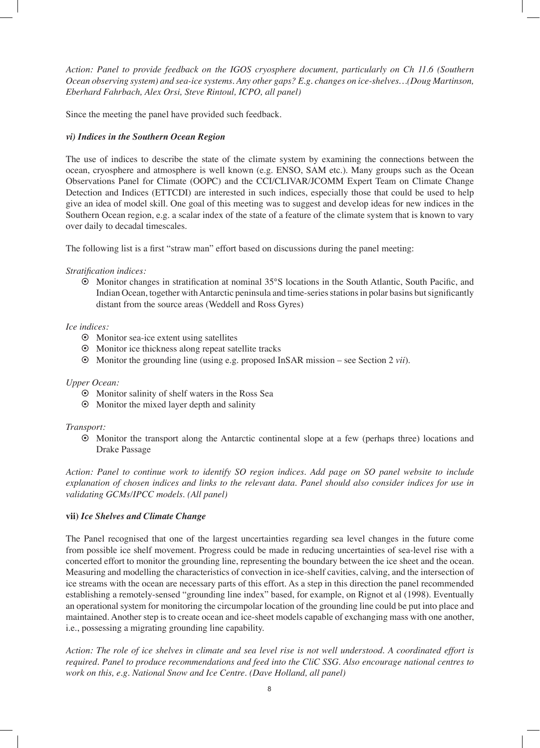*Action: Panel to provide feedback on the IGOS cryosphere document, particularly on Ch 11.6 (Southern Ocean observing system) and sea-ice systems. Any other gaps? E.g. changes on ice-shelves…(Doug Martinson, Eberhard Fahrbach, Alex Orsi, Steve Rintoul, ICPO, all panel)*

Since the meeting the panel have provided such feedback.

#### *vi) Indices in the Southern Ocean Region*

The use of indices to describe the state of the climate system by examining the connections between the ocean, cryosphere and atmosphere is well known (e.g. ENSO, SAM etc.). Many groups such as the Ocean Observations Panel for Climate (OOPC) and the CCI/CLIVAR/JCOMM Expert Team on Climate Change Detection and Indices (ETTCDI) are interested in such indices, especially those that could be used to help give an idea of model skill. One goal of this meeting was to suggest and develop ideas for new indices in the Southern Ocean region, e.g. a scalar index of the state of a feature of the climate system that is known to vary over daily to decadal timescales.

The following list is a first "straw man" effort based on discussions during the panel meeting:

#### *Stratification indices:*

§ Monitor changes in stratification at nominal 35°S locations in the South Atlantic, South Pacific, and Indian Ocean, together with Antarctic peninsula and time-series stations in polar basins but significantly distant from the source areas (Weddell and Ross Gyres)

## *Ice indices:*

- § Monitor sea-ice extent using satellites
- § Monitor ice thickness along repeat satellite tracks
- § Monitor the grounding line (using e.g. proposed InSAR mission see Section 2 *vii*).

#### *Upper Ocean:*

- § Monitor salinity of shelf waters in the Ross Sea
- § Monitor the mixed layer depth and salinity

#### *Transport:*

§ Monitor the transport along the Antarctic continental slope at a few (perhaps three) locations and Drake Passage

*Action: Panel to continue work to identify SO region indices. Add page on SO panel website to include explanation of chosen indices and links to the relevant data. Panel should also consider indices for use in validating GCMs/IPCC models. (All panel)*

### **vii)** *Ice Shelves and Climate Change*

The Panel recognised that one of the largest uncertainties regarding sea level changes in the future come from possible ice shelf movement. Progress could be made in reducing uncertainties of sea-level rise with a concerted effort to monitor the grounding line, representing the boundary between the ice sheet and the ocean. Measuring and modelling the characteristics of convection in ice-shelf cavities, calving, and the intersection of ice streams with the ocean are necessary parts of this effort. As a step in this direction the panel recommended establishing a remotely-sensed "grounding line index" based, for example, on Rignot et al (1998). Eventually an operational system for monitoring the circumpolar location of the grounding line could be put into place and maintained. Another step is to create ocean and ice-sheet models capable of exchanging mass with one another, i.e., possessing a migrating grounding line capability.

*Action: The role of ice shelves in climate and sea level rise is not well understood. A coordinated effort is required. Panel to produce recommendations and feed into the CliC SSG. Also encourage national centres to work on this, e.g. National Snow and Ice Centre. (Dave Holland, all panel)*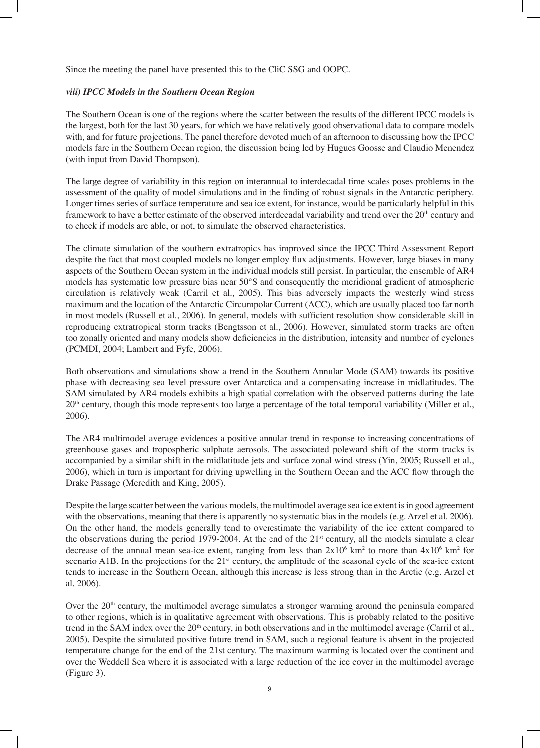Since the meeting the panel have presented this to the CliC SSG and OOPC.

#### *viii) IPCC Models in the Southern Ocean Region*

The Southern Ocean is one of the regions where the scatter between the results of the different IPCC models is the largest, both for the last 30 years, for which we have relatively good observational data to compare models with, and for future projections. The panel therefore devoted much of an afternoon to discussing how the IPCC models fare in the Southern Ocean region, the discussion being led by Hugues Goosse and Claudio Menendez (with input from David Thompson).

The large degree of variability in this region on interannual to interdecadal time scales poses problems in the assessment of the quality of model simulations and in the finding of robust signals in the Antarctic periphery. Longer times series of surface temperature and sea ice extent, for instance, would be particularly helpful in this framework to have a better estimate of the observed interdecadal variability and trend over the 20<sup>th</sup> century and to check if models are able, or not, to simulate the observed characteristics.

The climate simulation of the southern extratropics has improved since the IPCC Third Assessment Report despite the fact that most coupled models no longer employ flux adjustments. However, large biases in many aspects of the Southern Ocean system in the individual models still persist. In particular, the ensemble of AR4 models has systematic low pressure bias near 50°S and consequently the meridional gradient of atmospheric circulation is relatively weak (Carril et al., 2005). This bias adversely impacts the westerly wind stress maximum and the location of the Antarctic Circumpolar Current (ACC), which are usually placed too far north in most models (Russell et al., 2006). In general, models with sufficient resolution show considerable skill in reproducing extratropical storm tracks (Bengtsson et al., 2006). However, simulated storm tracks are often too zonally oriented and many models show deficiencies in the distribution, intensity and number of cyclones (PCMDI, 2004; Lambert and Fyfe, 2006).

Both observations and simulations show a trend in the Southern Annular Mode (SAM) towards its positive phase with decreasing sea level pressure over Antarctica and a compensating increase in midlatitudes. The SAM simulated by AR4 models exhibits a high spatial correlation with the observed patterns during the late 20<sup>th</sup> century, though this mode represents too large a percentage of the total temporal variability (Miller et al., 2006).

The AR4 multimodel average evidences a positive annular trend in response to increasing concentrations of greenhouse gases and tropospheric sulphate aerosols. The associated poleward shift of the storm tracks is accompanied by a similar shift in the midlatitude jets and surface zonal wind stress (Yin, 2005; Russell et al., 2006), which in turn is important for driving upwelling in the Southern Ocean and the ACC flow through the Drake Passage (Meredith and King, 2005).

Despite the large scatter between the various models, the multimodel average sea ice extent is in good agreement with the observations, meaning that there is apparently no systematic bias in the models (e.g. Arzel et al. 2006). On the other hand, the models generally tend to overestimate the variability of the ice extent compared to the observations during the period 1979-2004. At the end of the 21<sup>st</sup> century, all the models simulate a clear decrease of the annual mean sea-ice extent, ranging from less than  $2x10^6$  km<sup>2</sup> to more than  $4x10^6$  km<sup>2</sup> for scenario A1B. In the projections for the 21<sup>st</sup> century, the amplitude of the seasonal cycle of the sea-ice extent tends to increase in the Southern Ocean, although this increase is less strong than in the Arctic (e.g. Arzel et al. 2006).

Over the  $20<sup>th</sup>$  century, the multimodel average simulates a stronger warming around the peninsula compared to other regions, which is in qualitative agreement with observations. This is probably related to the positive trend in the SAM index over the 20<sup>th</sup> century, in both observations and in the multimodel average (Carril et al., 2005). Despite the simulated positive future trend in SAM, such a regional feature is absent in the projected temperature change for the end of the 21st century. The maximum warming is located over the continent and over the Weddell Sea where it is associated with a large reduction of the ice cover in the multimodel average (Figure 3).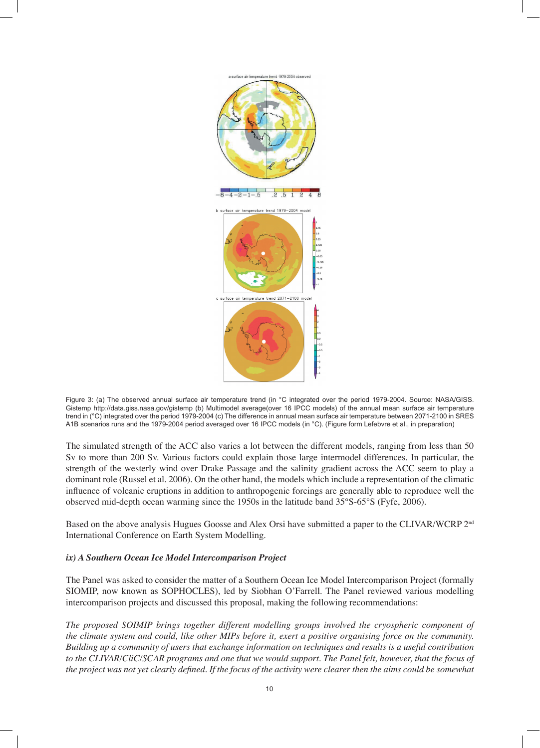

Figure 3: (a) The observed annual surface air temperature trend (in °C integrated over the period 1979-2004. Source: NASA/GISS. Gistemp http://data.giss.nasa.gov/gistemp (b) Multimodel average(over 16 IPCC models) of the annual mean surface air temperature trend in (°C) integrated over the period 1979-2004 (c) The difference in annual mean surface air temperature between 2071-2100 in SRES A1B scenarios runs and the 1979-2004 period averaged over 16 IPCC models (in °C). (Figure form Lefebvre et al., in preparation)

The simulated strength of the ACC also varies a lot between the different models, ranging from less than 50 Sv to more than 200 Sv. Various factors could explain those large intermodel differences. In particular, the strength of the westerly wind over Drake Passage and the salinity gradient across the ACC seem to play a dominant role (Russel et al. 2006). On the other hand, the models which include a representation of the climatic influence of volcanic eruptions in addition to anthropogenic forcings are generally able to reproduce well the observed mid-depth ocean warming since the 1950s in the latitude band 35°S-65°S (Fyfe, 2006).

Based on the above analysis Hugues Goosse and Alex Orsi have submitted a paper to the CLIVAR/WCRP 2nd International Conference on Earth System Modelling.

## *ix) A Southern Ocean Ice Model Intercomparison Project*

The Panel was asked to consider the matter of a Southern Ocean Ice Model Intercomparison Project (formally SIOMIP, now known as SOPHOCLES), led by Siobhan O'Farrell. The Panel reviewed various modelling intercomparison projects and discussed this proposal, making the following recommendations:

*The proposed SOIMIP brings together different modelling groups involved the cryospheric component of the climate system and could, like other MIPs before it, exert a positive organising force on the community. Building up a community of users that exchange information on techniques and results is a useful contribution to the CLIVAR/CliC/SCAR programs and one that we would support. The Panel felt, however, that the focus of the project was not yet clearly defined. If the focus of the activity were clearer then the aims could be somewhat*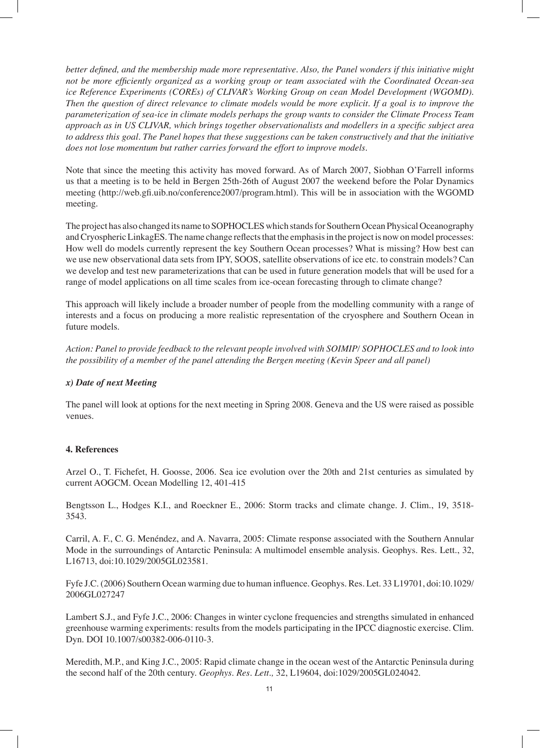*better defined, and the membership made more representative. Also, the Panel wonders if this initiative might not be more efficiently organized as a working group or team associated with the Coordinated Ocean-sea ice Reference Experiments (COREs) of CLIVAR's Working Group on cean Model Development (WGOMD). Then the question of direct relevance to climate models would be more explicit. If a goal is to improve the parameterization of sea-ice in climate models perhaps the group wants to consider the Climate Process Team approach as in US CLIVAR, which brings together observationalists and modellers in a specific subject area to address this goal. The Panel hopes that these suggestions can be taken constructively and that the initiative does not lose momentum but rather carries forward the effort to improve models.*

Note that since the meeting this activity has moved forward. As of March 2007, Siobhan O'Farrell informs us that a meeting is to be held in Bergen 25th-26th of August 2007 the weekend before the Polar Dynamics meeting (http://web.gfi.uib.no/conference2007/program.html). This will be in association with the WGOMD meeting.

The project has also changed its name to SOPHOCLES which stands for Southern Ocean Physical Oceanography and Cryospheric LinkagES. The name change reflects that the emphasis in the project is now on model processes: How well do models currently represent the key Southern Ocean processes? What is missing? How best can we use new observational data sets from IPY, SOOS, satellite observations of ice etc. to constrain models? Can we develop and test new parameterizations that can be used in future generation models that will be used for a range of model applications on all time scales from ice-ocean forecasting through to climate change?

This approach will likely include a broader number of people from the modelling community with a range of interests and a focus on producing a more realistic representation of the cryosphere and Southern Ocean in future models.

*Action: Panel to provide feedback to the relevant people involved with SOIMIP/ SOPHOCLES and to look into the possibility of a member of the panel attending the Bergen meeting (Kevin Speer and all panel)*

## *x) Date of next Meeting*

The panel will look at options for the next meeting in Spring 2008. Geneva and the US were raised as possible venues.

### **4. References**

Arzel O., T. Fichefet, H. Goosse, 2006. Sea ice evolution over the 20th and 21st centuries as simulated by current AOGCM. Ocean Modelling 12, 401-415

Bengtsson L., Hodges K.I., and Roeckner E., 2006: Storm tracks and climate change. J. Clim., 19, 3518- 3543.

Carril, A. F., C. G. Menéndez, and A. Navarra, 2005: Climate response associated with the Southern Annular Mode in the surroundings of Antarctic Peninsula: A multimodel ensemble analysis. Geophys. Res. Lett., 32, L16713, doi:10.1029/2005GL023581.

Fyfe J.C. (2006) Southern Ocean warming due to human influence. Geophys. Res. Let. 33 L19701, doi:10.1029/ 2006GL027247

Lambert S.J., and Fyfe J.C., 2006: Changes in winter cyclone frequencies and strengths simulated in enhanced greenhouse warming experiments: results from the models participating in the IPCC diagnostic exercise. Clim. Dyn. DOI 10.1007/s00382-006-0110-3.

Meredith, M.P., and King J.C., 2005: Rapid climate change in the ocean west of the Antarctic Peninsula during the second half of the 20th century. *Geophys. Res. Lett.,* 32, L19604, doi:1029/2005GL024042.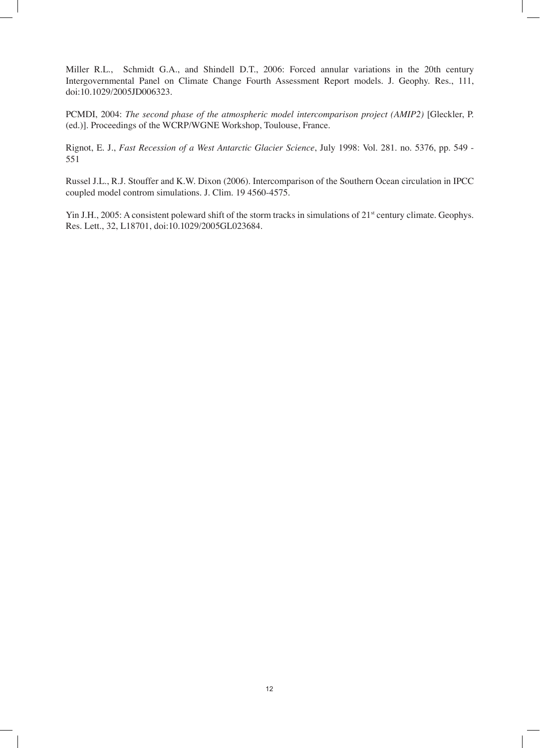Miller R.L., Schmidt G.A., and Shindell D.T., 2006: Forced annular variations in the 20th century Intergovernmental Panel on Climate Change Fourth Assessment Report models. J. Geophy. Res., 111, doi:10.1029/2005JD006323.

PCMDI, 2004: *The second phase of the atmospheric model intercomparison project (AMIP2)* [Gleckler, P. (ed.)]. Proceedings of the WCRP/WGNE Workshop, Toulouse, France.

Rignot, E. J., *Fast Recession of a West Antarctic Glacier Science*, July 1998: Vol. 281. no. 5376, pp. 549 - 551

Russel J.L., R.J. Stouffer and K.W. Dixon (2006). Intercomparison of the Southern Ocean circulation in IPCC coupled model controm simulations. J. Clim. 19 4560-4575.

Yin J.H., 2005: A consistent poleward shift of the storm tracks in simulations of 21<sup>st</sup> century climate. Geophys. Res. Lett., 32, L18701, doi:10.1029/2005GL023684.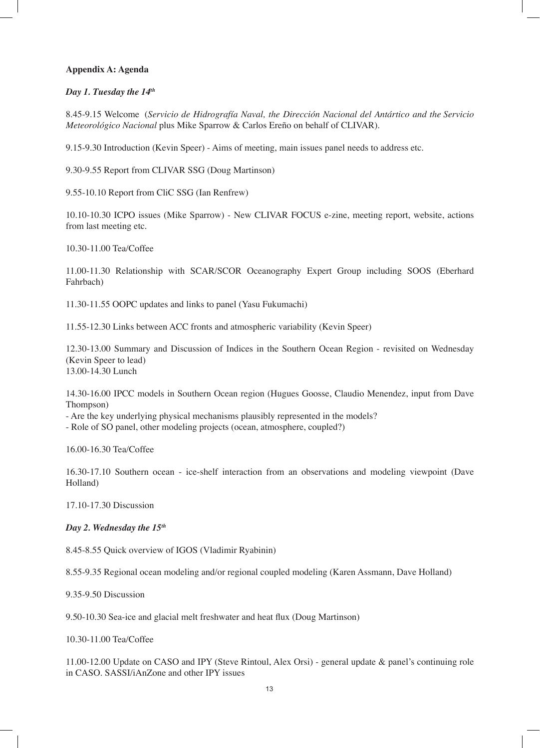## **Appendix A: Agenda**

### *Day 1. Tuesday the 14th*

8.45-9.15 Welcome (*Servicio de Hidrografía Naval, the Dirección Nacional del Antártico and the Servicio Meteorológico Nacional* plus Mike Sparrow & Carlos Ereño on behalf of CLIVAR).

9.15-9.30 Introduction (Kevin Speer) - Aims of meeting, main issues panel needs to address etc.

9.30-9.55 Report from CLIVAR SSG (Doug Martinson)

9.55-10.10 Report from CliC SSG (Ian Renfrew)

10.10-10.30 ICPO issues (Mike Sparrow) - New CLIVAR FOCUS e-zine, meeting report, website, actions from last meeting etc.

10.30-11.00 Tea/Coffee

11.00-11.30 Relationship with SCAR/SCOR Oceanography Expert Group including SOOS (Eberhard Fahrbach)

11.30-11.55 OOPC updates and links to panel (Yasu Fukumachi)

11.55-12.30 Links between ACC fronts and atmospheric variability (Kevin Speer)

12.30-13.00 Summary and Discussion of Indices in the Southern Ocean Region - revisited on Wednesday (Kevin Speer to lead) 13.00-14.30 Lunch

14.30-16.00 IPCC models in Southern Ocean region (Hugues Goosse, Claudio Menendez, input from Dave Thompson)

- Are the key underlying physical mechanisms plausibly represented in the models?

- Role of SO panel, other modeling projects (ocean, atmosphere, coupled?)

16.00-16.30 Tea/Coffee

16.30-17.10 Southern ocean - ice-shelf interaction from an observations and modeling viewpoint (Dave Holland)

17.10-17.30 Discussion

#### *Day 2. Wednesday the 15th*

8.45-8.55 Quick overview of IGOS (Vladimir Ryabinin)

8.55-9.35 Regional ocean modeling and/or regional coupled modeling (Karen Assmann, Dave Holland)

9.35-9.50 Discussion

9.50-10.30 Sea-ice and glacial melt freshwater and heat flux (Doug Martinson)

10.30-11.00 Tea/Coffee

11.00-12.00 Update on CASO and IPY (Steve Rintoul, Alex Orsi) - general update & panel's continuing role in CASO. SASSI/iAnZone and other IPY issues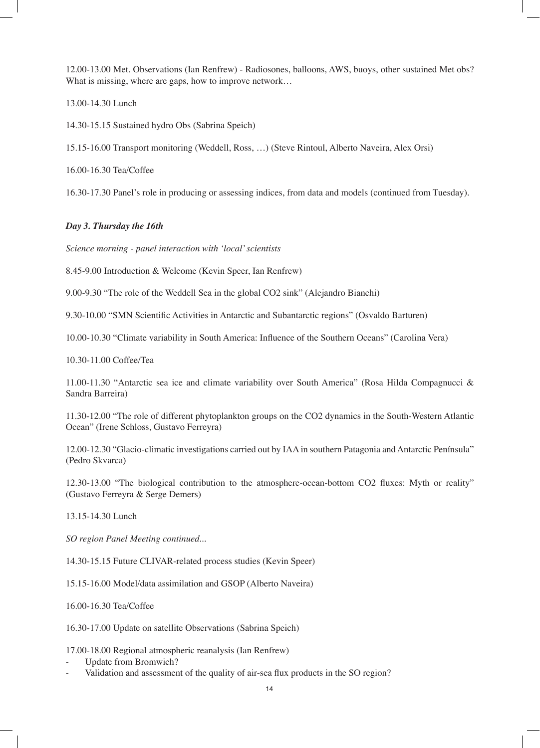12.00-13.00 Met. Observations (Ian Renfrew) - Radiosones, balloons, AWS, buoys, other sustained Met obs? What is missing, where are gaps, how to improve network...

13.00-14.30 Lunch

14.30-15.15 Sustained hydro Obs (Sabrina Speich)

15.15-16.00 Transport monitoring (Weddell, Ross, …) (Steve Rintoul, Alberto Naveira, Alex Orsi)

16.00-16.30 Tea/Coffee

16.30-17.30 Panel's role in producing or assessing indices, from data and models (continued from Tuesday).

### *Day 3. Thursday the 16th*

*Science morning - panel interaction with 'local' scientists*

8.45-9.00 Introduction & Welcome (Kevin Speer, Ian Renfrew)

9.00-9.30 "The role of the Weddell Sea in the global CO2 sink" (Alejandro Bianchi)

9.30-10.00 "SMN Scientific Activities in Antarctic and Subantarctic regions" (Osvaldo Barturen)

10.00-10.30 "Climate variability in South America: Influence of the Southern Oceans" (Carolina Vera)

10.30-11.00 Coffee/Tea

11.00-11.30 "Antarctic sea ice and climate variability over South America" (Rosa Hilda Compagnucci & Sandra Barreira)

11.30-12.00 "The role of different phytoplankton groups on the CO2 dynamics in the South-Western Atlantic Ocean" (Irene Schloss, Gustavo Ferreyra)

12.00-12.30 "Glacio-climatic investigations carried out by IAA in southern Patagonia and Antarctic Península" (Pedro Skvarca)

12.30-13.00 "The biological contribution to the atmosphere-ocean-bottom CO2 fluxes: Myth or reality" (Gustavo Ferreyra & Serge Demers)

13.15-14.30 Lunch

*SO region Panel Meeting continued...*

14.30-15.15 Future CLIVAR-related process studies (Kevin Speer)

15.15-16.00 Model/data assimilation and GSOP (Alberto Naveira)

16.00-16.30 Tea/Coffee

16.30-17.00 Update on satellite Observations (Sabrina Speich)

17.00-18.00 Regional atmospheric reanalysis (Ian Renfrew)

- Update from Bromwich?
- Validation and assessment of the quality of air-sea flux products in the SO region?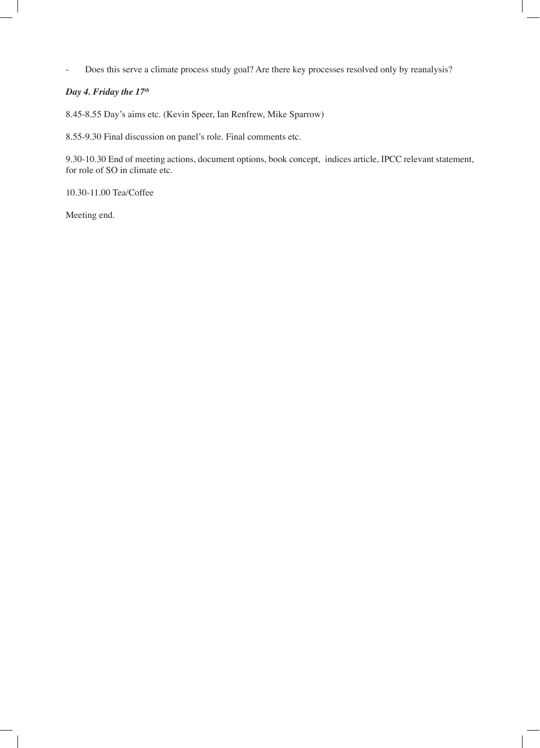- Does this serve a climate process study goal? Are there key processes resolved only by reanalysis?

## *Day 4. Friday the 17th*

8.45-8.55 Day's aims etc. (Kevin Speer, Ian Renfrew, Mike Sparrow)

8.55-9.30 Final discussion on panel's role. Final comments etc.

9.30-10.30 End of meeting actions, document options, book concept, indices article, IPCC relevant statement, for role of SO in climate etc.

10.30-11.00 Tea/Coffee

Meeting end.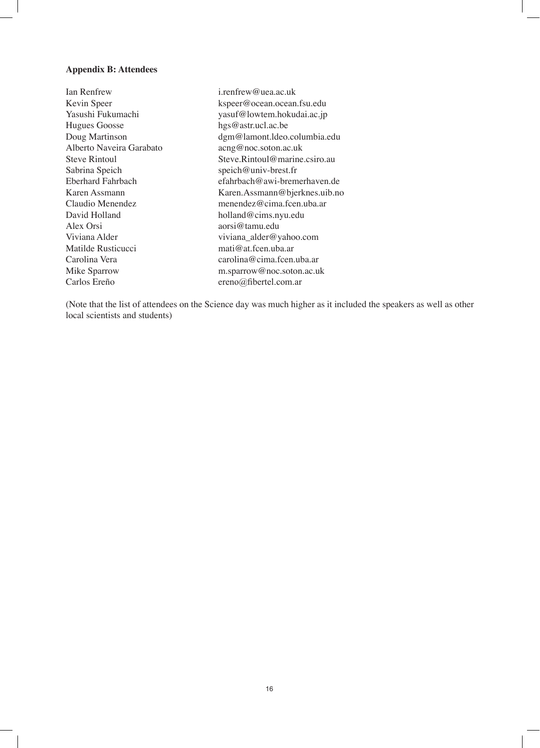### **Appendix B: Attendees**

Ian Renfrew i.renfrew@uea.ac.uk Hugues Goosse hgs@astr.ucl.ac.be Alberto Naveira Garabato Sabrina Speich speich@univ-brest.fr David Holland holland holland medicins.nyu.edu Alex Orsi aorsi@tamu.edu Matilde Rusticucci mati $@$ at.fcen.uba.ar Carlos Ereño ereno@fibertel.com.ar

Kevin Speer kspeer@ocean.ocean.fsu.edu yasuf@lowtem.hokudai.ac.jp Doug Martinson dgm@lamont.ldeo.columbia.edu<br>Alberto Naveira Garabato acng@noc.soton.ac.uk Steve Rintoul Steve.Rintoul@marine.csiro.au Eberhard Fahrbach efahrbach@awi-bremerhaven.de Karen Assmann Karen.Assmann@bjerknes.uib.no Claudio Menendez menendez@cima.fcen.uba.ar Viviana Alder viviana\_alder@yahoo.com Carolina Vera carolina@cima.fcen.uba.ar Mike Sparrow m.sparrow@noc.soton.ac.uk

(Note that the list of attendees on the Science day was much higher as it included the speakers as well as other local scientists and students)